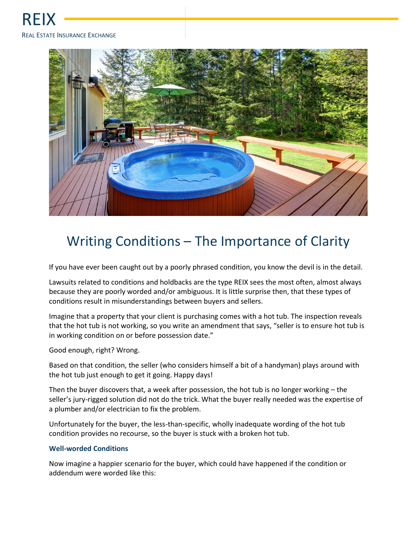

## Writing Conditions – The Importance of Clarity

If you have ever been caught out by a poorly phrased condition, you know the devil is in the detail.

Lawsuits related to conditions and holdbacks are the type REIX sees the most often, almost always because they are poorly worded and/or ambiguous. It is little surprise then, that these types of conditions result in misunderstandings between buyers and sellers.

Imagine that a property that your client is purchasing comes with a hot tub. The inspection reveals that the hot tub is not working, so you write an amendment that says, "seller is to ensure hot tub is in working condition on or before possession date."

Good enough, right? Wrong.

Based on that condition, the seller (who considers himself a bit of a handyman) plays around with the hot tub just enough to get it going. Happy days!

Then the buyer discovers that, a week after possession, the hot tub is no longer working  $-$  the seller's jury-rigged solution did not do the trick. What the buyer really needed was the expertise of a plumber and/or electrician to fix the problem.

Unfortunately for the buyer, the less-than-specific, wholly inadequate wording of the hot tub condition provides no recourse, so the buyer is stuck with a broken hot tub.

## **Well-worded Conditions**

Now imagine a happier scenario for the buyer, which could have happened if the condition or addendum were worded like this: